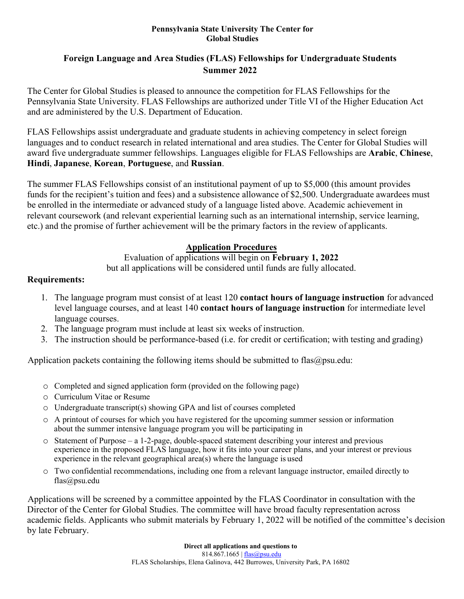#### **Pennsylvania State University The Center for Global Studies**

## **Foreign Language and Area Studies (FLAS) Fellowships for Undergraduate Students Summer 2022**

The Center for Global Studies is pleased to announce the competition for FLAS Fellowships for the Pennsylvania State University. FLAS Fellowships are authorized under Title VI of the Higher Education Act and are administered by the U.S. Department of Education.

FLAS Fellowships assist undergraduate and graduate students in achieving competency in select foreign languages and to conduct research in related international and area studies. The Center for Global Studies will award five undergraduate summer fellowships. Languages eligible for FLAS Fellowships are **Arabic**, **Chinese**, **Hindi**, **Japanese**, **Korean**, **Portuguese**, and **Russian**.

The summer FLAS Fellowships consist of an institutional payment of up to \$5,000 (this amount provides funds for the recipient's tuition and fees) and a subsistence allowance of \$2,500. Undergraduate awardees must be enrolled in the intermediate or advanced study of a language listed above. Academic achievement in relevant coursework (and relevant experiential learning such as an international internship, service learning, etc.) and the promise of further achievement will be the primary factors in the review of applicants.

### **Application Procedures**

Evaluation of applications will begin on **February 1, 2022**

but all applications will be considered until funds are fully allocated.

### **Requirements:**

- 1. The language program must consist of at least 120 **contact hours of language instruction** for advanced level language courses, and at least 140 **contact hours of language instruction** for intermediate level language courses.
- 2. The language program must include at least six weeks of instruction.
- 3. The instruction should be performance-based (i.e. for credit or certification; with testing and grading)

Application packets containing the following items should be submitted to [flas@psu.edu:](mailto:flas@psu.edu)

- o Completed and signed application form (provided on the following page)
- o Curriculum Vitae or Resume
- o Undergraduate transcript(s) showing GPA and list of courses completed
- o A printout of courses for which you have registered for the upcoming summer session or information about the summer intensive language program you will be participating in
- $\circ$  Statement of Purpose a 1-2-page, double-spaced statement describing your interest and previous experience in the proposed FLAS language, how it fits into your career plans, and your interest or previous experience in the relevant geographical area(s) where the language is used
- o Two confidential recommendations, including one from a relevant language instructor, emailed directly to [flas@psu.edu](mailto:flas@psu.edu)

Applications will be screened by a committee appointed by the FLAS Coordinator in consultation with the Director of the Center for Global Studies. The committee will have broad faculty representation across academic fields. Applicants who submit materials by February 1, 2022 will be notified of the committee's decision by late February.